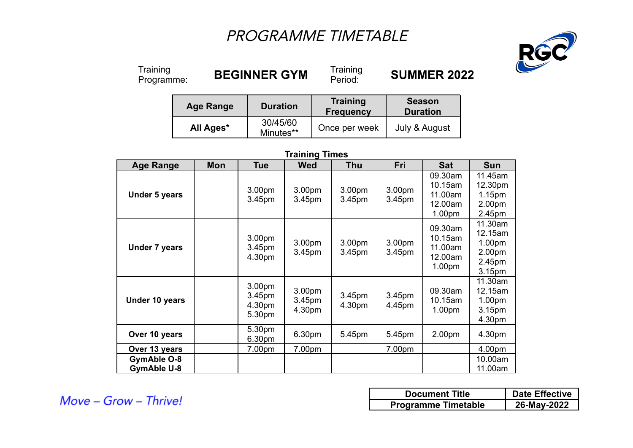# PROGRAMME TIMETABLE



Training<br>Programme:

**BEGINNER GYM** 

Training<br>Period:

Period: **SUMMER 2022**

| <b>Age Range</b> | <b>Duration</b>       | <b>Training</b><br><b>Frequency</b> | <b>Season</b><br><b>Duration</b> |
|------------------|-----------------------|-------------------------------------|----------------------------------|
| All Ages*        | 30/45/60<br>Minutes** | Once per week                       | July & August                    |

## **Training Times**

| <b>Age Range</b>                         | <b>Mon</b> | <b>Tue</b>                           | <b>Wed</b>                               | <b>Thu</b>                   | Fri              | <b>Sat</b>                                                     | <b>Sun</b>                                                             |
|------------------------------------------|------------|--------------------------------------|------------------------------------------|------------------------------|------------------|----------------------------------------------------------------|------------------------------------------------------------------------|
| <b>Under 5 years</b>                     |            | 3.00pm<br>3.45pm                     | 3.00 <sub>pm</sub><br>3.45 <sub>pm</sub> | 3.00pm<br>3.45 <sub>pm</sub> | 3.00pm<br>3.45pm | 09.30am<br>10.15am<br>11.00am<br>12.00am<br>1.00 <sub>pm</sub> | 11.45am<br>12.30pm<br>1.15 <sub>pm</sub><br>2.00pm<br>2.45pm           |
| <b>Under 7 years</b>                     |            | 3.00pm<br>3.45pm<br>4.30pm           | 3.00pm<br>3.45pm                         | 3.00pm<br>3.45 <sub>pm</sub> | 3.00pm<br>3.45pm | 09.30am<br>10.15am<br>11.00am<br>12.00am<br>1.00 <sub>pm</sub> | 11.30am<br>12.15am<br>1.00pm<br>2.00 <sub>pm</sub><br>2.45pm<br>3.15pm |
| Under 10 years                           |            | 3.00pm<br>3.45pm<br>4.30pm<br>5.30pm | 3.00pm<br>3.45pm<br>4.30pm               | 3.45pm<br>4.30pm             | 3.45pm<br>4.45pm | 09.30am<br>10.15am<br>1.00 <sub>pm</sub>                       | 11.30am<br>12.15am<br>1.00 <sub>pm</sub><br>3.15pm<br>4.30pm           |
| Over 10 years                            |            | 5.30pm<br>6.30pm                     | 6.30pm                                   | 5.45pm                       | 5.45pm           | 2.00 <sub>pm</sub>                                             | 4.30pm                                                                 |
| Over 13 years                            |            | 7.00pm                               | 7.00pm                                   |                              | 7.00pm           |                                                                | 4.00pm                                                                 |
| <b>GymAble O-8</b><br><b>GymAble U-8</b> |            |                                      |                                          |                              |                  |                                                                | 10.00am<br>11.00am                                                     |

Move - Grow - Thrive!

| <b>Document Title</b>      | <b>Date Effective</b> |
|----------------------------|-----------------------|
| <b>Programme Timetable</b> | 26-May-2022           |